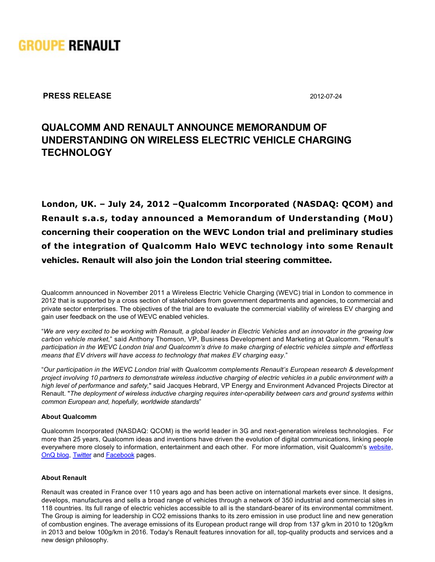

**PRESS RELEASE** 2012-07-24

# **QUALCOMM AND RENAULT ANNOUNCE MEMORANDUM OF UNDERSTANDING ON WIRELESS ELECTRIC VEHICLE CHARGING TECHNOLOGY**

**London, UK. – July 24, 2012 –Qualcomm Incorporated (NASDAQ: QCOM) and Renault s.a.s, today announced a Memorandum of Understanding (MoU) concerning their cooperation on the WEVC London trial and preliminary studies of the integration of Qualcomm Halo WEVC technology into some Renault vehicles. Renault will also join the London trial steering committee.**

Qualcomm announced in November 2011 a Wireless Electric Vehicle Charging (WEVC) trial in London to commence in 2012 that is supported by a cross section of stakeholders from government departments and agencies, to commercial and private sector enterprises. The objectives of the trial are to evaluate the commercial viability of wireless EV charging and gain user feedback on the use of WEVC enabled vehicles.

"*We are very excited to be working with Renault, a global leader in Electric Vehicles and an innovator in the growing low carbon vehicle market*," said Anthony Thomson, VP, Business Development and Marketing at Qualcomm. "Renault's *participation in the WEVC London trial and Qualcomm's drive to make charging of electric vehicles simple and effortless means that EV drivers will have access to technology that makes EV charging easy*."

"*Our participation in the WEVC London trial with Qualcomm complements Renault's European research & development project involving 10 partners to demonstrate wireless inductive charging of electric vehicles in a public environment with a high level of performance and safety,*" said Jacques Hebrard, VP Energy and Environment Advanced Projects Director at Renault. "The deployment of wireless inductive charging requires inter-operability between cars and ground systems within *common European and, hopefully, worldwide standards*"

## **About Qualcomm**

Qualcomm Incorporated (NASDAQ: QCOM) is the world leader in 3G and next-generation wireless technologies. For more than 25 years, Qualcomm ideas and inventions have driven the evolution of digital communications, linking people everywhere more closely to information, entertainment and each other. For more information, visit Qualcomm's [website,](http://www.qualcomm.com/) [OnQ blog](http://www.qualcomm.com/blog), [Twitter](http://www.twitter.com/qualcomm) and [Facebook](http://www.facebook.com/qualcomm) pages.

## **About Renault**

Renault was created in France over 110 years ago and has been active on international markets ever since. It designs, develops, manufactures and sells a broad range of vehicles through a network of 350 industrial and commercial sites in 118 countries. Its full range of electric vehicles accessible to all is the standard-bearer of its environmental commitment. The Group is aiming for leadership in CO2 emissions thanks to its zero emission in use product line and new generation of combustion engines. The average emissions of its European product range will drop from 137 g/km in 2010 to 120g/km in 2013 and below 100g/km in 2016. Today's Renault features innovation for all, top-quality products and services and a new design philosophy.